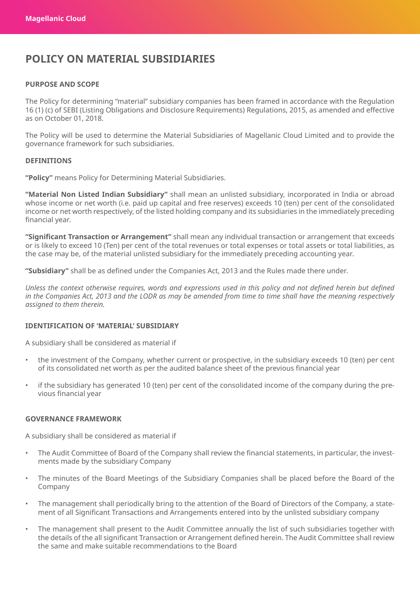# **POLICY ON MATERIAL SUBSIDIARIES**

# **PURPOSE AND SCOPE**

The Policy for determining "material" subsidiary companies has been framed in accordance with the Regulation 16 (1) (c) of SEBI (Listing Obligations and Disclosure Requirements) Regulations, 2015, as amended and effective as on October 01, 2018.

The Policy will be used to determine the Material Subsidiaries of Magellanic Cloud Limited and to provide the governance framework for such subsidiaries.

#### **DEFINITIONS**

**"Policy"** means Policy for Determining Material Subsidiaries.

**"Material Non Listed Indian Subsidiary"** shall mean an unlisted subsidiary, incorporated in India or abroad whose income or net worth (i.e. paid up capital and free reserves) exceeds 10 (ten) per cent of the consolidated income or net worth respectively, of the listed holding company and its subsidiaries in the immediately preceding financial year.

**"Significant Transaction or Arrangement"** shall mean any individual transaction or arrangement that exceeds or is likely to exceed 10 (Ten) per cent of the total revenues or total expenses or total assets or total liabilities, as the case may be, of the material unlisted subsidiary for the immediately preceding accounting year.

**"Subsidiary"** shall be as defined under the Companies Act, 2013 and the Rules made there under.

*Unless the context otherwise requires, words and expressions used in this policy and not defined herein but defined in the Companies Act, 2013 and the LODR as may be amended from time to time shall have the meaning respectively assigned to them therein.*

# **IDENTIFICATION OF 'MATERIAL' SUBSIDIARY**

A subsidiary shall be considered as material if

- the investment of the Company, whether current or prospective, in the subsidiary exceeds 10 (ten) per cent of its consolidated net worth as per the audited balance sheet of the previous financial year
- if the subsidiary has generated 10 (ten) per cent of the consolidated income of the company during the previous financial year

#### **GOVERNANCE FRAMEWORK**

A subsidiary shall be considered as material if

- The Audit Committee of Board of the Company shall review the financial statements, in particular, the investments made by the subsidiary Company
- The minutes of the Board Meetings of the Subsidiary Companies shall be placed before the Board of the Company
- The management shall periodically bring to the attention of the Board of Directors of the Company, a statement of all Significant Transactions and Arrangements entered into by the unlisted subsidiary company
- The management shall present to the Audit Committee annually the list of such subsidiaries together with the details of the all significant Transaction or Arrangement defined herein. The Audit Committee shall review the same and make suitable recommendations to the Board